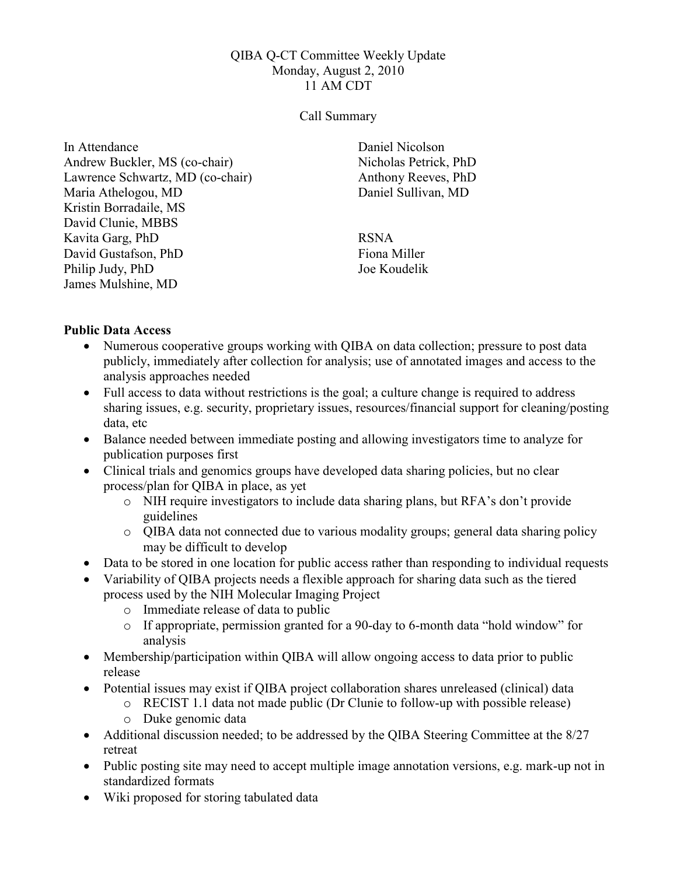### QIBA Q-CT Committee Weekly Update Monday, August 2, 2010 11 AM CDT

#### Call Summary

In Attendance Andrew Buckler, MS (co-chair) Lawrence Schwartz, MD (co-chair) Maria Athelogou, MD Kristin Borradaile, MS David Clunie, MBBS Kavita Garg, PhD David Gustafson, PhD Philip Judy, PhD James Mulshine, MD

Daniel Nicolson Nicholas Petrick, PhD Anthony Reeves, PhD Daniel Sullivan, MD

RSNA Fiona Miller Joe Koudelik

### Public Data Access

- Numerous cooperative groups working with QIBA on data collection; pressure to post data publicly, immediately after collection for analysis; use of annotated images and access to the analysis approaches needed
- Full access to data without restrictions is the goal; a culture change is required to address sharing issues, e.g. security, proprietary issues, resources/financial support for cleaning/posting data, etc
- Balance needed between immediate posting and allowing investigators time to analyze for publication purposes first
- Clinical trials and genomics groups have developed data sharing policies, but no clear process/plan for QIBA in place, as yet
	- o NIH require investigators to include data sharing plans, but RFA's don't provide guidelines
	- o QIBA data not connected due to various modality groups; general data sharing policy may be difficult to develop
- Data to be stored in one location for public access rather than responding to individual requests
- Variability of QIBA projects needs a flexible approach for sharing data such as the tiered process used by the NIH Molecular Imaging Project
	- o Immediate release of data to public
	- o If appropriate, permission granted for a 90-day to 6-month data "hold window" for analysis
- Membership/participation within QIBA will allow ongoing access to data prior to public release
- Potential issues may exist if QIBA project collaboration shares unreleased (clinical) data
	- o RECIST 1.1 data not made public (Dr Clunie to follow-up with possible release)
		- o Duke genomic data
- Additional discussion needed; to be addressed by the QIBA Steering Committee at the 8/27 retreat
- Public posting site may need to accept multiple image annotation versions, e.g. mark-up not in standardized formats
- Wiki proposed for storing tabulated data